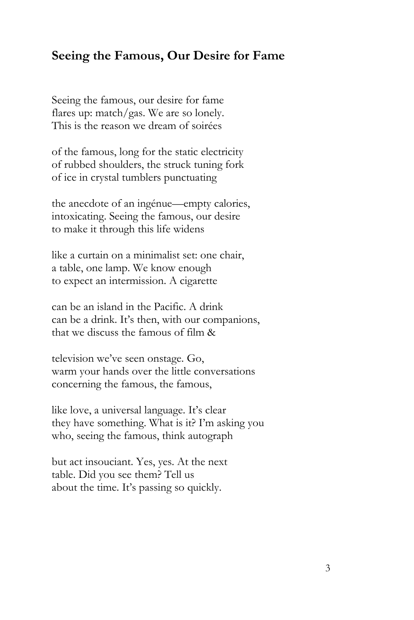## **Seeing the Famous, Our Desire for Fame**

Seeing the famous, our desire for fame flares up: match/gas. We are so lonely. This is the reason we dream of soirées

of the famous, long for the static electricity of rubbed shoulders, the struck tuning fork of ice in crystal tumblers punctuating

the anecdote of an ingénue—empty calories, intoxicating. Seeing the famous, our desire to make it through this life widens

like a curtain on a minimalist set: one chair, a table, one lamp. We know enough to expect an intermission. A cigarette

can be an island in the Pacific. A drink can be a drink. It's then, with our companions, that we discuss the famous of film &

television we've seen onstage. Go, warm your hands over the little conversations concerning the famous, the famous,

like love, a universal language. It's clear they have something. What is it? I'm asking you who, seeing the famous, think autograph

but act insouciant. Yes, yes. At the next table. Did you see them? Tell us about the time. It's passing so quickly.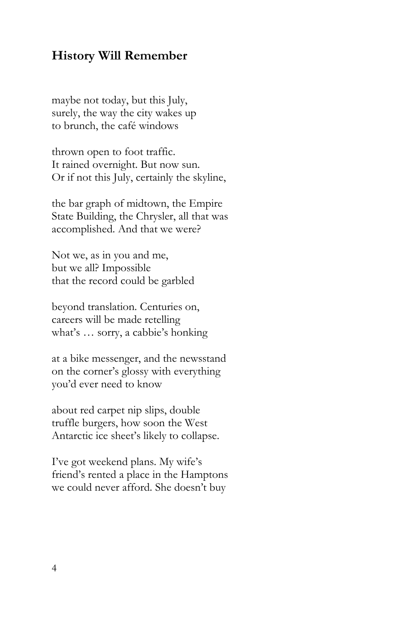## **History Will Remember**

maybe not today, but this July, surely, the way the city wakes up to brunch, the café windows

thrown open to foot traffic. It rained overnight. But now sun. Or if not this July, certainly the skyline,

the bar graph of midtown, the Empire State Building, the Chrysler, all that was accomplished. And that we were?

Not we, as in you and me, but we all? Impossible that the record could be garbled

beyond translation. Centuries on, careers will be made retelling what's … sorry, a cabbie's honking

at a bike messenger, and the newsstand on the corner's glossy with everything you'd ever need to know

about red carpet nip slips, double truffle burgers, how soon the West Antarctic ice sheet's likely to collapse.

I've got weekend plans. My wife's friend's rented a place in the Hamptons we could never afford. She doesn't buy